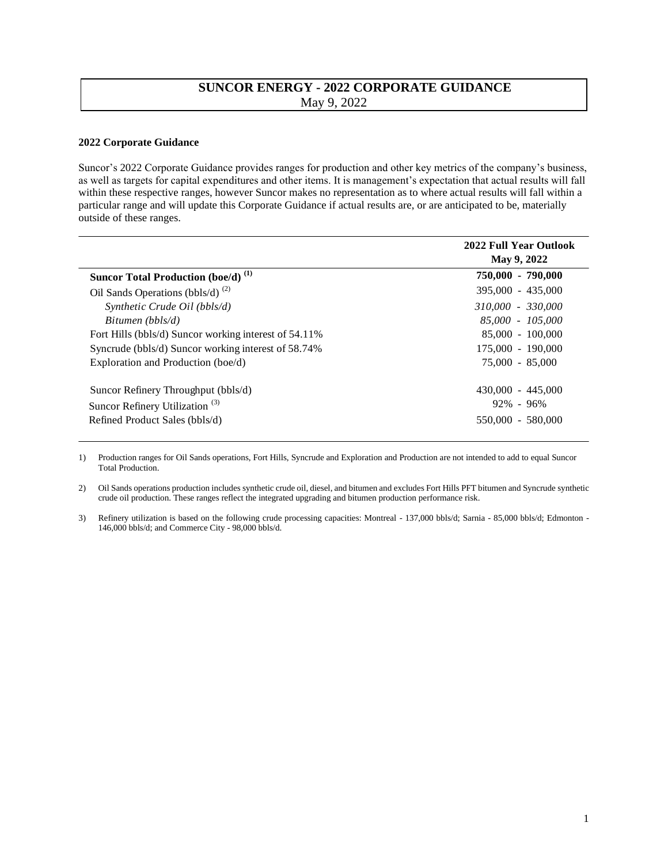## **SUNCOR ENERGY - 2022 CORPORATE GUIDANCE**  May 9, 2022

## **2022 Corporate Guidance**

Suncor's 2022 Corporate Guidance provides ranges for production and other key metrics of the company's business, as well as targets for capital expenditures and other items. It is management's expectation that actual results will fall within these respective ranges, however Suncor makes no representation as to where actual results will fall within a particular range and will update this Corporate Guidance if actual results are, or are anticipated to be, materially outside of these ranges.

| 2022 Full Year Outlook<br>May 9, 2022 |
|---------------------------------------|
| 750,000 - 790,000                     |
| 395,000 - 435,000                     |
| 310,000 - 330,000                     |
| 85,000 - 105,000                      |
| 85,000 - 100,000                      |
| 175,000 - 190,000                     |
| 75,000 - 85,000                       |
| $430,000 - 445,000$                   |
| $92\% - 96\%$                         |
| 550,000 - 580,000                     |
|                                       |

1) Production ranges for Oil Sands operations, Fort Hills, Syncrude and Exploration and Production are not intended to add to equal Suncor Total Production.

2) Oil Sands operations production includes synthetic crude oil, diesel, and bitumen and excludes Fort Hills PFT bitumen and Syncrude synthetic crude oil production. These ranges reflect the integrated upgrading and bitumen production performance risk.

3) Refinery utilization is based on the following crude processing capacities: Montreal - 137,000 bbls/d; Sarnia - 85,000 bbls/d; Edmonton - 146,000 bbls/d; and Commerce City - 98,000 bbls/d.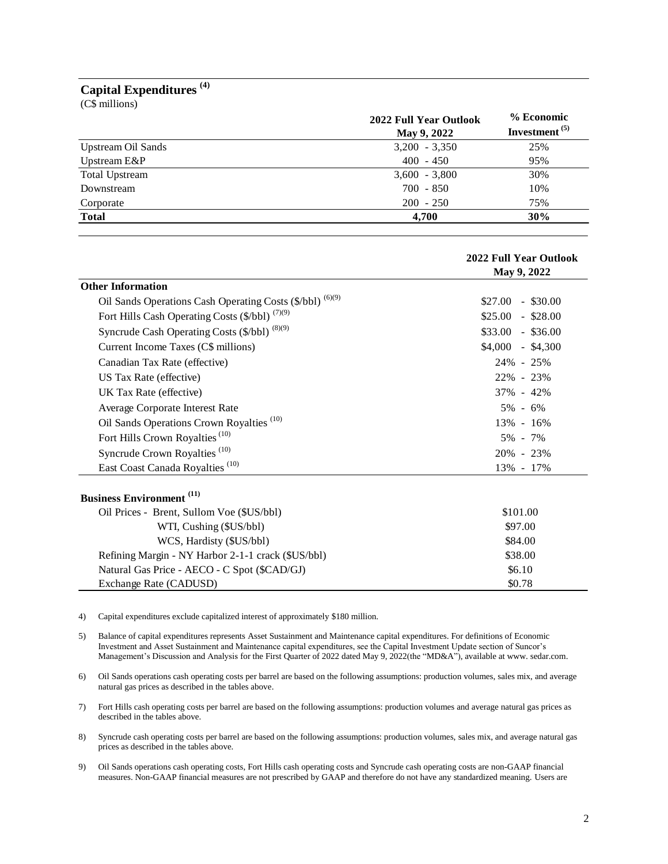## **Capital Expenditures (4)**

(C\$ millions)

|                       | 2022 Full Year Outlook<br>May 9, 2022 | % Economic<br>Investment $(5)$ |
|-----------------------|---------------------------------------|--------------------------------|
| Upstream Oil Sands    | $3,200 - 3,350$                       | 25%                            |
| Upstream E&P          | $400 - 450$                           | 95%                            |
| <b>Total Upstream</b> | $3,600 - 3,800$                       | 30%                            |
| Downstream            | $700 - 850$                           | 10%                            |
| Corporate             | $200 - 250$                           | 75%                            |
| <b>Total</b>          | 4,700                                 | 30%                            |

|                                                           | 2022 Full Year Outlook |  |
|-----------------------------------------------------------|------------------------|--|
|                                                           | May 9, 2022            |  |
| <b>Other Information</b>                                  |                        |  |
| Oil Sands Operations Cash Operating Costs (\$/bbl) (6)(9) | $$27.00 - $30.00$      |  |
| Fort Hills Cash Operating Costs (\$/bbl) (7)(9)           | $$25.00 - $28.00$      |  |
| Syncrude Cash Operating Costs (\$/bbl) (8)(9)             | $$33.00$ - \$36.00     |  |
| Current Income Taxes (C\$ millions)                       | $$4,000$ - \$4,300     |  |
| Canadian Tax Rate (effective)                             | 24% - 25%              |  |
| US Tax Rate (effective)                                   | 22% - 23%              |  |
| UK Tax Rate (effective)                                   | 37% - 42%              |  |
| Average Corporate Interest Rate                           | $5\% - 6\%$            |  |
| Oil Sands Operations Crown Royalties <sup>(10)</sup>      | 13% - 16%              |  |
| Fort Hills Crown Royalties <sup>(10)</sup>                | $5\% - 7\%$            |  |
| Syncrude Crown Royalties <sup>(10)</sup>                  | 20\% - 23\%            |  |
| East Coast Canada Royalties <sup>(10)</sup>               | 13% - 17%              |  |
| <b>Business Environment</b> <sup>(11)</sup>               |                        |  |
| Oil Prices - Brent, Sullom Voe (\$US/bbl)                 | \$101.00               |  |
| WTI, Cushing (\$US/bbl)                                   | \$97.00                |  |
| WCS, Hardisty (\$US/bbl)                                  | \$84.00                |  |
| Refining Margin - NY Harbor 2-1-1 crack (\$US/bbl)        | \$38.00                |  |

4) Capital expenditures exclude capitalized interest of approximately \$180 million.

Natural Gas Price - AECO - C Spot (\$CAD/GJ)

Exchange Rate (CADUSD)

5) Balance of capital expenditures represents Asset Sustainment and Maintenance capital expenditures. For definitions of Economic Investment and Asset Sustainment and Maintenance capital expenditures, see the Capital Investment Update section of Suncor's Management's Discussion and Analysis for the First Quarter of 2022 dated May 9, 2022(the "MD&A"), available at www. sedar.com.

6) Oil Sands operations cash operating costs per barrel are based on the following assumptions: production volumes, sales mix, and average natural gas prices as described in the tables above.

7) Fort Hills cash operating costs per barrel are based on the following assumptions: production volumes and average natural gas prices as described in the tables above.

8) Syncrude cash operating costs per barrel are based on the following assumptions: production volumes, sales mix, and average natural gas prices as described in the tables above.

9) Oil Sands operations cash operating costs, Fort Hills cash operating costs and Syncrude cash operating costs are non-GAAP financial measures. Non-GAAP financial measures are not prescribed by GAAP and therefore do not have any standardized meaning. Users are

\$6.10 \$0.78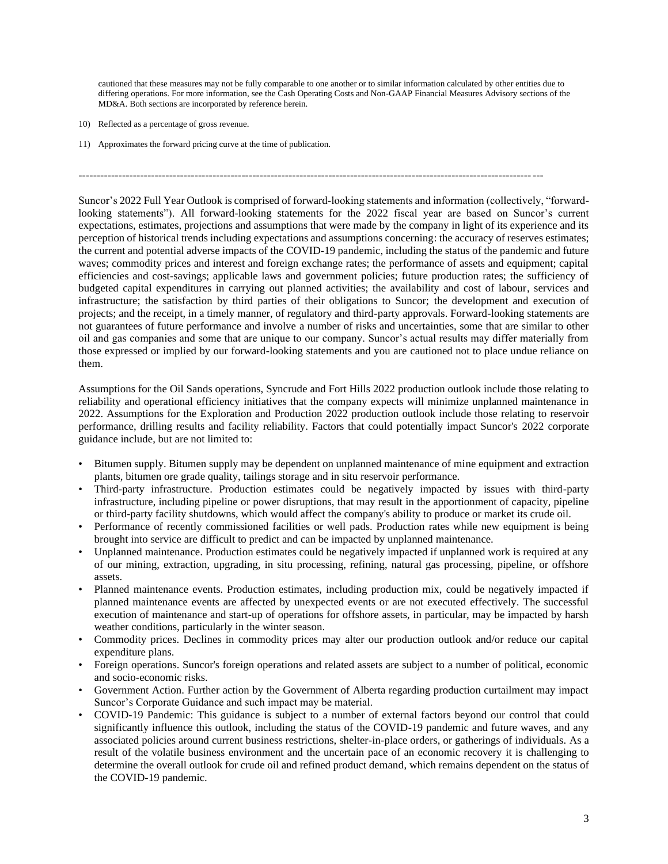cautioned that these measures may not be fully comparable to one another or to similar information calculated by other entities due to differing operations. For more information, see the Cash Operating Costs and Non-GAAP Financial Measures Advisory sections of the MD&A. Both sections are incorporated by reference herein.

--------------------------------------------------------------------------------------------------------------------------------

- 10) Reflected as a percentage of gross revenue.
- 11) Approximates the forward pricing curve at the time of publication.

Suncor's 2022 Full Year Outlook is comprised of forward-looking statements and information (collectively, "forwardlooking statements"). All forward-looking statements for the 2022 fiscal year are based on Suncor's current expectations, estimates, projections and assumptions that were made by the company in light of its experience and its perception of historical trends including expectations and assumptions concerning: the accuracy of reserves estimates; the current and potential adverse impacts of the COVID-19 pandemic, including the status of the pandemic and future waves; commodity prices and interest and foreign exchange rates; the performance of assets and equipment; capital efficiencies and cost-savings; applicable laws and government policies; future production rates; the sufficiency of budgeted capital expenditures in carrying out planned activities; the availability and cost of labour, services and infrastructure; the satisfaction by third parties of their obligations to Suncor; the development and execution of projects; and the receipt, in a timely manner, of regulatory and third-party approvals. Forward-looking statements are not guarantees of future performance and involve a number of risks and uncertainties, some that are similar to other oil and gas companies and some that are unique to our company. Suncor's actual results may differ materially from those expressed or implied by our forward-looking statements and you are cautioned not to place undue reliance on them.

Assumptions for the Oil Sands operations, Syncrude and Fort Hills 2022 production outlook include those relating to reliability and operational efficiency initiatives that the company expects will minimize unplanned maintenance in 2022. Assumptions for the Exploration and Production 2022 production outlook include those relating to reservoir performance, drilling results and facility reliability. Factors that could potentially impact Suncor's 2022 corporate guidance include, but are not limited to:

- Bitumen supply. Bitumen supply may be dependent on unplanned maintenance of mine equipment and extraction plants, bitumen ore grade quality, tailings storage and in situ reservoir performance.
- Third-party infrastructure. Production estimates could be negatively impacted by issues with third-party infrastructure, including pipeline or power disruptions, that may result in the apportionment of capacity, pipeline or third-party facility shutdowns, which would affect the company's ability to produce or market its crude oil.
- Performance of recently commissioned facilities or well pads. Production rates while new equipment is being brought into service are difficult to predict and can be impacted by unplanned maintenance.
- Unplanned maintenance. Production estimates could be negatively impacted if unplanned work is required at any of our mining, extraction, upgrading, in situ processing, refining, natural gas processing, pipeline, or offshore assets.
- Planned maintenance events. Production estimates, including production mix, could be negatively impacted if planned maintenance events are affected by unexpected events or are not executed effectively. The successful execution of maintenance and start-up of operations for offshore assets, in particular, may be impacted by harsh weather conditions, particularly in the winter season.
- Commodity prices. Declines in commodity prices may alter our production outlook and/or reduce our capital expenditure plans.
- Foreign operations. Suncor's foreign operations and related assets are subject to a number of political, economic and socio-economic risks.
- Government Action. Further action by the Government of Alberta regarding production curtailment may impact Suncor's Corporate Guidance and such impact may be material.
- COVID-19 Pandemic: This guidance is subject to a number of external factors beyond our control that could significantly influence this outlook, including the status of the COVID-19 pandemic and future waves, and any associated policies around current business restrictions, shelter-in-place orders, or gatherings of individuals. As a result of the volatile business environment and the uncertain pace of an economic recovery it is challenging to determine the overall outlook for crude oil and refined product demand, which remains dependent on the status of the COVID-19 pandemic.